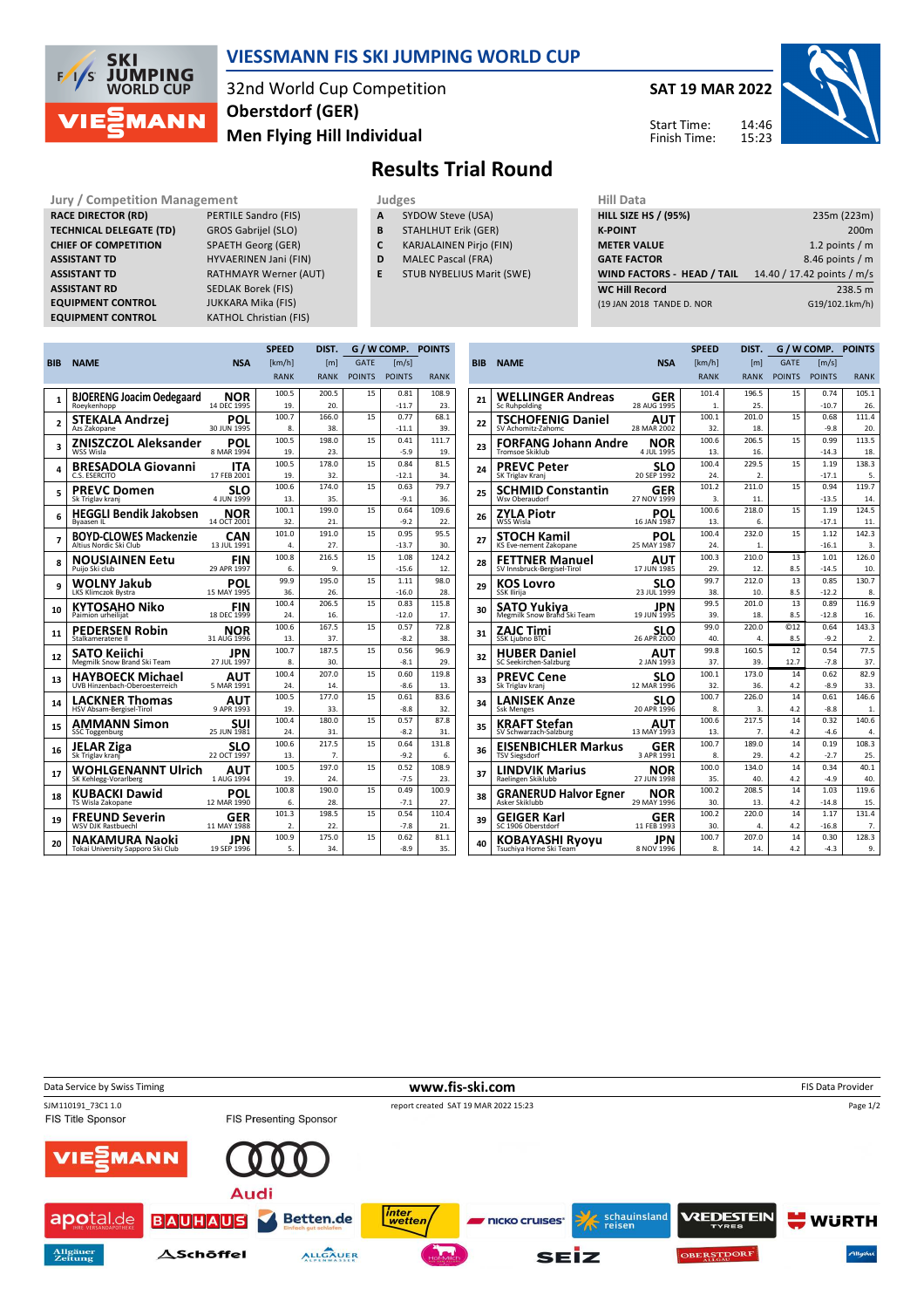

#### **VIESSMANN FIS SKI JUMPING WORLD CUP**

32nd World Cup Competition **Men Flying Hill Individual Oberstdorf (GER)**

**SAT 19 MAR 2022**

Start Time: Finish Time: 14:46 15:23



## **Results Trial Round**

**RACE DIRECTOR (RD) TECHNICAL DELEGATE (TD)** GROS Gabrijel (SLO) **CHIEF OF COMPETITION** SPAETH Georg (GER) **ASSISTANT TD** HYVAERINEN Jani (FIN) **ASSISTANT TD** RATHMAYR Werner (AUT)<br> **ASSISTANT RD** SEDLAK Borek (FIS) **EQUIPMENT CONTROL** JUKKARA Mika (FIS)

**Jury / Competition Management Judges Judges Hill Data**<br> **RACE DIRECTOR (RD)** PERTILE Sandro (FIS) **A** SYDOW Steve (USA) **HILL SIZE HILL SIZE F SEDLAK Borek (FIS) EQUIPMENT CONTROL** KATHOL Christian (FIS)

- **A** SYDOW Steve (USA)
- **B** STAHLHUT Erik (GER)
- **C** KARJALAINEN Pirjo (FIN)
- **D** MALEC Pascal (FRA)
- **E** STUB NYBELIUS Marit (SWE)

| niil Data                         |                            |
|-----------------------------------|----------------------------|
| <b>HILL SIZE HS / (95%)</b>       | 235m (223m)                |
| <b>K-POINT</b>                    | 200 <sub>m</sub>           |
| <b>METER VALUE</b>                | 1.2 points $/m$            |
| <b>GATE FACTOR</b>                | 8.46 points / m            |
| <b>WIND FACTORS - HEAD / TAIL</b> | 14.40 / 17.42 points / m/s |
| <b>WC Hill Record</b>             | 238.5 m                    |
| (19 JAN 2018 TANDE D. NOR         | G19/102.1km/h)             |
|                                   |                            |

|                | <b>SPEED</b>                                              |                           | DIST.        |              | G / W COMP.   | <b>POINTS</b>       |              |
|----------------|-----------------------------------------------------------|---------------------------|--------------|--------------|---------------|---------------------|--------------|
| <b>BIB</b>     | <b>NAME</b>                                               | <b>NSA</b>                | [km/h]       | [m]          | <b>GATE</b>   | $\lceil m/s \rceil$ |              |
|                |                                                           |                           | <b>RANK</b>  | <b>RANK</b>  | <b>POINTS</b> | <b>POINTS</b>       | <b>RANK</b>  |
|                | <b>BJOERENG Joacim Oedegaard</b>                          | <b>NOR</b>                | 100.5        | 200.5        | 15            | 0.81                | 108.9        |
| 1              | Roeykenhopp                                               | 14 DEC 1995               | 19.          | 20.          |               | $-11.7$             | 23.          |
| $\overline{a}$ | STEKALA Andrzei                                           | POL                       | 100.7        | 166.0        | 15            | 0.77                | 68.1         |
|                | Azs Zakopane                                              | 30 JUN 1995               | 8.           | 38.          |               | $-11.1$             | 39.          |
| 3              | ZNISZCZOL Aleksander                                      | POL                       | 100.5        | 198.0        | 15            | 0.41                | 111.7        |
|                | WSS Wisla                                                 | 8 MAR 1994                | 19.          | 23.          |               | $-5.9$              | 19.          |
| 4              | <b>BRESADOLA Giovanni</b>                                 | <b>ITA</b>                | 100.5        | 178.0        | 15            | 0.84                | 81.5         |
|                | C.S. ESERCITO                                             | 17 FEB 2001               | 19.<br>100.6 | 32.<br>174.0 | 15            | $-12.1$<br>0.63     | 34.<br>79.7  |
| 5              | <b>PREVC Domen</b><br>Sk Triglav kranj                    | <b>SLO</b><br>4 JUN 1999  | 13.          | 35.          |               | $-9.1$              | 36.          |
|                |                                                           |                           | 100.1        | 199.0        | 15            | 0.64                | 109.6        |
| 6              | <b>HEGGLI Bendik Jakobsen</b><br>Byaasen IL               | <b>NOR</b><br>14 OCT 2001 | 32.          | 21.          |               | $-9.2$              | 22.          |
|                | <b>BOYD-CLOWES Mackenzie</b>                              | CAN                       | 101.0        | 191.0        | 15            | 0.95                | 95.5         |
| 7              | Altius Nordic Ski Club                                    | 13 JUL 1991               | 4.           | 27.          |               | $-13.7$             | 30.          |
| 8              | <b>NOUSIAINEN Eetu</b>                                    | <b>FIN</b>                | 100.8        | 216.5        | 15            | 1.08                | 124.2        |
|                | Puijo Ski club                                            | 29 APR 1997               | 6.           | 9.           |               | $-15.6$             | 12.          |
| 9              | WOLNY Jakub                                               | POL                       | 99.9         | 195.0        | 15            | 1.11                | 98.0         |
|                | LKS Klimczok Bystra                                       | 15 MAY 1995               | 36.          | 26.          |               | $-16.0$             | 28.          |
| 10             | KYTOSAHO Niko                                             | <b>FIN</b>                | 100.4        | 206.5        | 15            | 0.83                | 115.8        |
|                | Paimion urheilijat                                        | 18 DEC 1999               | 24.          | 16.          |               | $-12.0$             | 17.          |
| 11             | <b>PEDERSEN Robin</b>                                     | <b>NOR</b>                | 100.6        | 167.5        | 15            | 0.57                | 72.8         |
|                | Stalkameratene II                                         | 31 AUG 1996               | 13.<br>100.7 | 37.<br>187.5 | 15            | $-8.2$<br>0.56      | 38.<br>96.9  |
| 12             | SATO Keiichi<br>Megmilk Snow Brand Ski Team               | JPN<br>27 JUL 1997        | 8.           | 30.          |               | $-8.1$              | 29.          |
|                |                                                           |                           | 100.4        | 207.0        | 15            | 0.60                | 119.8        |
| 13             | <b>HAYBOECK Michael</b><br>UVB Hinzenbach-Oberoesterreich | AUT<br>5 MAR 1991         | 24.          | 14.          |               | $-8.6$              | 13.          |
|                |                                                           |                           | 100.5        | 177.0        | 15            | 0.61                | 83.6         |
| 14             | <b>LACKNER Thomas</b><br><b>HSV Absam-Bergisel-Tirol</b>  | AUT<br>9 APR 1993         | 19.          | 33.          |               | $-8.8$              | 32.          |
|                | <b>AMMANN Simon</b>                                       | suı                       | 100.4        | 180.0        | 15            | 0.57                | 87.8         |
| 15             | <b>SSC Toggenburg</b>                                     | 25 JUN 1981               | 24.          | 31.          |               | $-8.2$              | 31.          |
| 16             | JELAR Ziga                                                | SLO                       | 100.6        | 217.5        | 15            | 0.64                | 131.8        |
|                | Sk Triglav kranj                                          | 22 OCT 1997               | 13.          | 7.           |               | $-9.2$              | 6.           |
| 17             | <b>WOHLGENANNT Ulrich</b>                                 | AUT                       | 100.5        | 197.0        | 15            | 0.52                | 108.9        |
|                | SK Kehlegg-Vorarlberg                                     | 1 AUG 1994                | 19.          | 24.          |               | $-7.5$              | 23.          |
| 18             | <b>KUBACKI Dawid</b>                                      | POL<br>12 MAR 1990        | 100.8        | 190.0        | 15            | 0.49<br>$-7.1$      | 100.9        |
|                | TS Wisla Zakopane                                         |                           | 6.<br>101.3  | 28.<br>198.5 | 15            | 0.54                | 27.<br>110.4 |
| 19             | <b>FREUND Severin</b><br><b>WSV DJK Rastbuechl</b>        | GER<br>11 MAY 1988        | 2.           | 22.          |               | $-7.8$              | 21.          |
|                |                                                           |                           | 100.9        | 175.0        | 15            | 0.62                | 81.1         |
| 20             | NAKAMURA Naoki<br>Tokai University Sapporo Ski Club       | JPN<br>19 SEP 1996        | 5.           | 34.          |               | $-8.9$              | 35.          |
|                |                                                           |                           |              |              |               |                     |              |

|            |                                                   |                          | <b>SPEED</b> | DIST.                     | G / W COMP.     |                       | <b>POINTS</b> |
|------------|---------------------------------------------------|--------------------------|--------------|---------------------------|-----------------|-----------------------|---------------|
| <b>BIB</b> | <b>NAME</b>                                       | <b>NSA</b>               | [km/h]       | [ml]                      | <b>GATE</b>     | $\lfloor m/s \rfloor$ |               |
|            |                                                   |                          | <b>RANK</b>  | <b>RANK</b>               | <b>POINTS</b>   | <b>POINTS</b>         | <b>RANK</b>   |
|            | <b>WELLINGER Andreas</b>                          | GER                      | 101.4        | 196.5                     | 15              | 0.74                  | 105.1         |
| 21         | <b>Sc Ruhpolding</b>                              | 28 AUG 1995              | 1.           | 25.                       |                 | $-10.7$               | 26.           |
| 22         | TSCHOFENIG Daniel                                 | AUT                      | 100.1        | 201.0                     | 15              | 0.68                  | 111.4         |
|            | SV Achomitz-Zahomc                                | 28 MAR 2002              | 32.          | 18.                       |                 | $-9.8$                | 20.           |
| 23         | <b>FORFANG Johann Andre</b>                       | NOR                      | 100.6        | 206.5                     | 15              | 0.99                  | 113.5         |
|            | <b>Tromsoe Skiklub</b>                            | 4 JUL 1995               | 13.          | 16.                       |                 | $-14.3$               | 18.           |
| 24         | <b>PREVC Peter</b>                                | SLO                      | 100.4        | 229.5                     | 15              | 1.19                  | 138.3         |
|            | SK Triglav Kranj                                  | 20 SEP 1992              | 24.<br>101.2 | $\overline{2}$ .<br>211.0 | 15              | $-17.1$<br>0.94       | 5.<br>119.7   |
| 25         | <b>SCHMID Constantin</b><br>Wsy Oberaudorf        | GER<br>27 NOV 1999       | 3.           | 11.                       |                 | $-13.5$               | 14.           |
|            |                                                   |                          | 100.6        | 218.0                     | 15              | 1.19                  | 124.5         |
| 26         | <b>ZYLA Piotr</b><br>WSS Wisla                    | POL<br>16 JAN 1987       | 13.          | 6.                        |                 | $-17.1$               | 11.           |
|            | <b>STOCH Kamil</b>                                | POL                      | 100.4        | 232.0                     | 15              | 1.12                  | 142.3         |
| 27         | KS Eve-nement Zakopane                            | 25 MAY 1987              | 24.          | 1.                        |                 | $-16.1$               | 3.            |
|            | <b>FETTNER Manuel</b>                             | AUT                      | 100.3        | 210.0                     | 13              | 1.01                  | 126.0         |
| 28         | SV Innsbruck-Bergisel-Tirol                       | 17 JUN 1985              | 29.          | 12.                       | 8.5             | $-14.5$               | 10.           |
| 29         | <b>KOS Lovro</b>                                  | SLO                      | 99.7         | 212.0                     | 13              | 0.85                  | 130.7         |
|            | SSK Ilirija                                       | 23 JUL 1999              | 38.          | 10.                       | 8.5             | $-12.2$               | 8.            |
| 30         | <b>SATO Yukiya</b><br>Megmilk Snow Brand Ski Team | JPN                      | 99.5         | 201.0                     | 13              | 0.89                  | 116.9         |
|            |                                                   | 19 JUN 1995              | 39.          | 18.                       | 8.5             | $-12.8$               | 16.           |
| 31         | <b>ZAJC Timi</b>                                  | <b>SLO</b>               | 99.0         | 220.0                     | C <sub>12</sub> | 0.64                  | 143.3         |
|            | <b>SSK Ljubno BTC</b>                             | 26 APR 2000              | 40.          | 4.                        | 8.5<br>12       | $-9.2$                | 2.            |
| 32         | <b>HUBER Daniel</b><br>SC Seekirchen-Salzburg     | <b>AUT</b><br>2 JAN 1993 | 99.8<br>37.  | 160.5<br>39.              | 12.7            | 0.54<br>$-7.8$        | 77.5<br>37.   |
|            |                                                   |                          | 100.1        | 173.0                     | 14              | 0.62                  | 82.9          |
| 33         | <b>PREVC Cene</b><br>Sk Triglav kranj             | SLO<br>12 MAR 1996       | 32.          | 36.                       | 4.2             | $-8.9$                | 33.           |
|            | <b>LANISEK Anze</b>                               | SLO                      | 100.7        | 226.0                     | 14              | 0.61                  | 146.6         |
| 34         | <b>Ssk Menges</b>                                 | 20 APR 1996              | 8.           | 3.                        | 4.2             | $-8.8$                | 1.            |
| 35         | <b>KRAFT Stefan</b>                               | AUT                      | 100.6        | 217.5                     | 14              | 0.32                  | 140.6         |
|            | SV Schwarzach-Salzburg                            | 13 MAY 1993              | 13.          | 7.                        | 4.2             | $-4.6$                | 4.            |
| 36         | <b>EISENBICHLER Markus</b>                        | GER                      | 100.7        | 189.0                     | 14              | 0.19                  | 108.3         |
|            | <b>TSV Siegsdorf</b>                              | 3 APR 1991               | 8.           | 29.                       | 4.2             | $-2.7$                | 25.           |
| 37         | <b>LINDVIK Marius</b>                             | NOR                      | 100.0        | 134.0                     | 14              | 0.34                  | 40.1          |
|            | Raelingen Skiklubb                                | 27 JUN 1998              | 35.          | 40.                       | 4.2             | $-4.9$                | 40.           |
| 38         | <b>GRANERUD Halvor Egner</b>                      | NOR                      | 100.2        | 208.5                     | 14              | 1.03                  | 119.6         |
|            | Asker Skiklubb                                    | 29 MAY 1996              | 30.<br>100.2 | 13.                       | 4.2             | $-14.8$               | 15.<br>131.4  |
| 39         | GEIGER Karl<br>SC 1906 Oberstdorf                 | GER<br>11 FEB 1993       | 30.          | 220.0<br>4.               | 14<br>4.2       | 1.17<br>$-16.8$       | 7.            |
|            |                                                   |                          | 100.7        | 207.0                     | 14              | 0.30                  | 128.3         |
| 40         | KOBAYASHI Ryoyu<br>Tsuchiya Home Ski Team         | JPN<br>8 NOV 1996        | 8.           | 14.                       | 4.2             | $-4.3$                | 9.            |